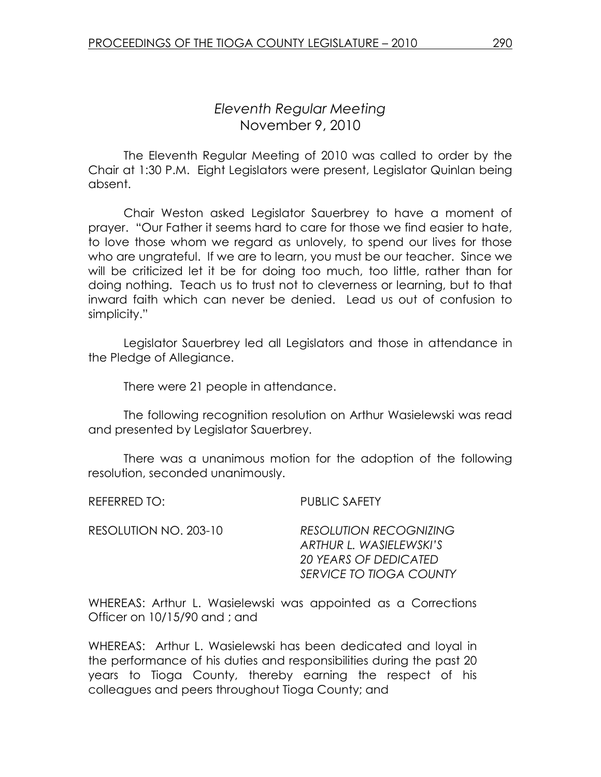# Eleventh Regular Meeting November 9, 2010

 The Eleventh Regular Meeting of 2010 was called to order by the Chair at 1:30 P.M. Eight Legislators were present, Legislator Quinlan being absent.

 Chair Weston asked Legislator Sauerbrey to have a moment of prayer. "Our Father it seems hard to care for those we find easier to hate, to love those whom we regard as unlovely, to spend our lives for those who are ungrateful. If we are to learn, you must be our teacher. Since we will be criticized let it be for doing too much, too little, rather than for doing nothing. Teach us to trust not to cleverness or learning, but to that inward faith which can never be denied. Lead us out of confusion to simplicity."

 Legislator Sauerbrey led all Legislators and those in attendance in the Pledge of Allegiance.

There were 21 people in attendance.

The following recognition resolution on Arthur Wasielewski was read and presented by Legislator Sauerbrey.

 There was a unanimous motion for the adoption of the following resolution, seconded unanimously.

REFERRED TO: PUBLIC SAFETY

| RESOLUTION NO. 203-10 | <b>RESOLUTION RECOGNIZING</b> |
|-----------------------|-------------------------------|
|                       | ARTHUR L. WASIELEWSKI'S       |
|                       | 20 YEARS OF DEDICATED         |
|                       | SERVICE TO TIOGA COUNTY       |

WHEREAS: Arthur L. Wasielewski was appointed as a Corrections Officer on 10/15/90 and ; and

WHEREAS: Arthur L. Wasielewski has been dedicated and loyal in the performance of his duties and responsibilities during the past 20 years to Tioga County, thereby earning the respect of his colleagues and peers throughout Tioga County; and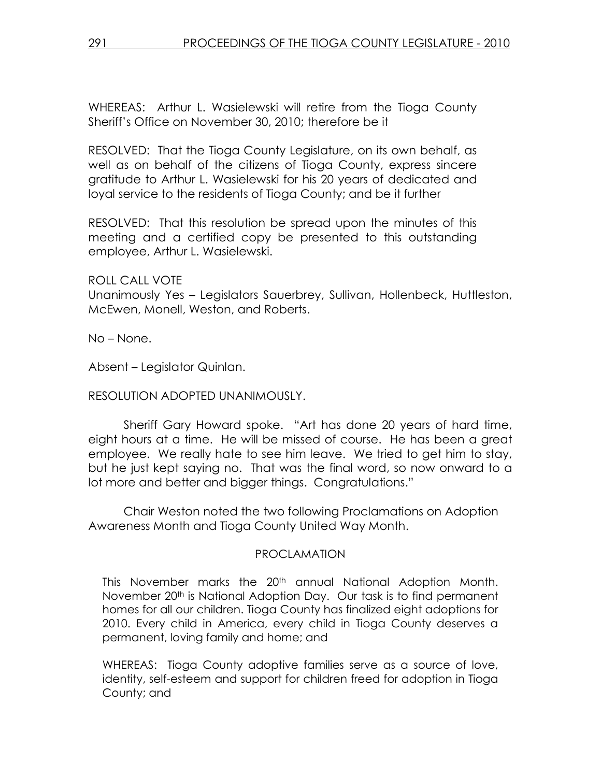WHEREAS: Arthur L. Wasielewski will retire from the Tioga County Sheriff's Office on November 30, 2010; therefore be it

RESOLVED: That the Tioga County Legislature, on its own behalf, as well as on behalf of the citizens of Tioga County, express sincere gratitude to Arthur L. Wasielewski for his 20 years of dedicated and loyal service to the residents of Tioga County; and be it further

RESOLVED: That this resolution be spread upon the minutes of this meeting and a certified copy be presented to this outstanding employee, Arthur L. Wasielewski.

ROLL CALL VOTE

Unanimously Yes – Legislators Sauerbrey, Sullivan, Hollenbeck, Huttleston, McEwen, Monell, Weston, and Roberts.

No – None.

Absent – Legislator Quinlan.

### RESOLUTION ADOPTED UNANIMOUSLY.

 Sheriff Gary Howard spoke. "Art has done 20 years of hard time, eight hours at a time. He will be missed of course. He has been a great employee. We really hate to see him leave. We tried to get him to stay, but he just kept saying no. That was the final word, so now onward to a lot more and better and bigger things. Congratulations."

 Chair Weston noted the two following Proclamations on Adoption Awareness Month and Tioga County United Way Month.

#### PROCLAMATION

This November marks the 20<sup>th</sup> annual National Adoption Month. November 20<sup>th</sup> is National Adoption Day. Our task is to find permanent homes for all our children. Tioga County has finalized eight adoptions for 2010. Every child in America, every child in Tioga County deserves a permanent, loving family and home; and

WHEREAS: Tioga County adoptive families serve as a source of love, identity, self-esteem and support for children freed for adoption in Tioga County; and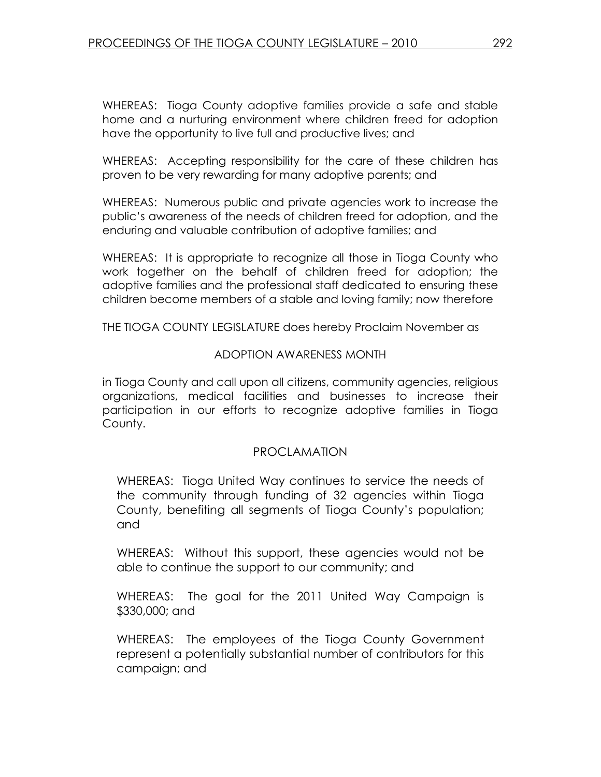WHEREAS: Tioga County adoptive families provide a safe and stable home and a nurturing environment where children freed for adoption have the opportunity to live full and productive lives; and

WHEREAS: Accepting responsibility for the care of these children has proven to be very rewarding for many adoptive parents; and

WHEREAS: Numerous public and private agencies work to increase the public's awareness of the needs of children freed for adoption, and the enduring and valuable contribution of adoptive families; and

WHEREAS: It is appropriate to recognize all those in Tioga County who work together on the behalf of children freed for adoption; the adoptive families and the professional staff dedicated to ensuring these children become members of a stable and loving family; now therefore

THE TIOGA COUNTY LEGISLATURE does hereby Proclaim November as

#### ADOPTION AWARENESS MONTH

in Tioga County and call upon all citizens, community agencies, religious organizations, medical facilities and businesses to increase their participation in our efforts to recognize adoptive families in Tioga County.

#### PROCLAMATION

WHEREAS: Tioga United Way continues to service the needs of the community through funding of 32 agencies within Tioga County, benefiting all segments of Tioga County's population; and

WHEREAS: Without this support, these agencies would not be able to continue the support to our community; and

WHEREAS: The goal for the 2011 United Way Campaign is \$330,000; and

WHEREAS: The employees of the Tioga County Government represent a potentially substantial number of contributors for this campaign; and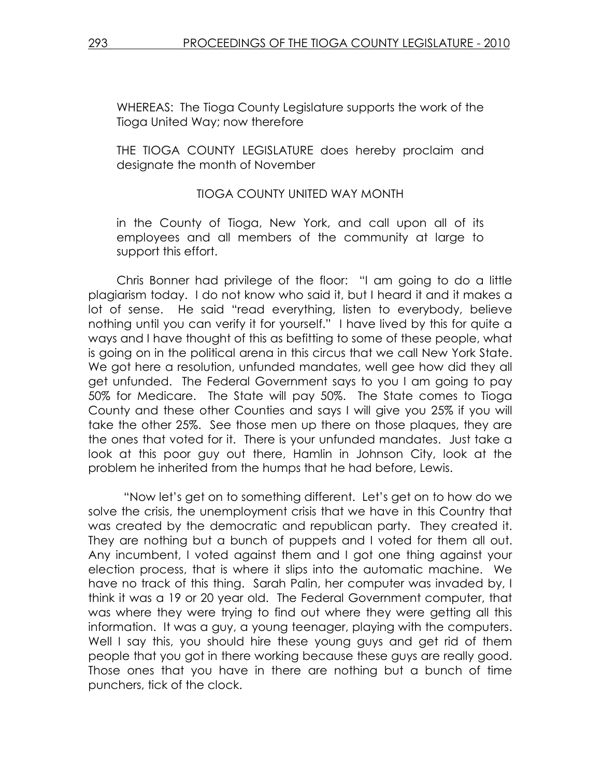WHEREAS: The Tioga County Legislature supports the work of the Tioga United Way; now therefore

THE TIOGA COUNTY LEGISLATURE does hereby proclaim and designate the month of November

### TIOGA COUNTY UNITED WAY MONTH

in the County of Tioga, New York, and call upon all of its employees and all members of the community at large to support this effort.

Chris Bonner had privilege of the floor: "I am going to do a little plagiarism today. I do not know who said it, but I heard it and it makes a lot of sense. He said "read everything, listen to everybody, believe nothing until you can verify it for yourself." I have lived by this for quite a ways and I have thought of this as befitting to some of these people, what is going on in the political arena in this circus that we call New York State. We got here a resolution, unfunded mandates, well gee how did they all get unfunded. The Federal Government says to you I am going to pay 50% for Medicare. The State will pay 50%. The State comes to Tioga County and these other Counties and says I will give you 25% if you will take the other 25%. See those men up there on those plaques, they are the ones that voted for it. There is your unfunded mandates. Just take a look at this poor guy out there, Hamlin in Johnson City, look at the problem he inherited from the humps that he had before, Lewis.

 "Now let's get on to something different. Let's get on to how do we solve the crisis, the unemployment crisis that we have in this Country that was created by the democratic and republican party. They created it. They are nothing but a bunch of puppets and I voted for them all out. Any incumbent, I voted against them and I got one thing against your election process, that is where it slips into the automatic machine. We have no track of this thing. Sarah Palin, her computer was invaded by, I think it was a 19 or 20 year old. The Federal Government computer, that was where they were trying to find out where they were getting all this information. It was a guy, a young teenager, playing with the computers. Well I say this, you should hire these young guys and get rid of them people that you got in there working because these guys are really good. Those ones that you have in there are nothing but a bunch of time punchers, tick of the clock.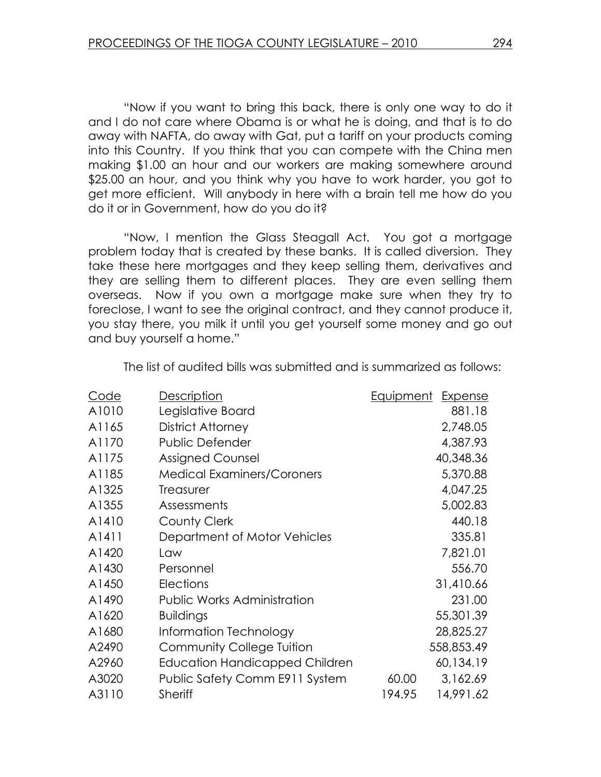"Now if you want to bring this back, there is only one way to do it and I do not care where Obama is or what he is doing, and that is to do away with NAFTA, do away with Gat, put a tariff on your products coming into this Country. If you think that you can compete with the China men making \$1.00 an hour and our workers are making somewhere around \$25.00 an hour, and you think why you have to work harder, you got to get more efficient. Will anybody in here with a brain tell me how do you do it or in Government, how do you do it?

 "Now, I mention the Glass Steagall Act. You got a mortgage problem today that is created by these banks. It is called diversion. They take these here mortgages and they keep selling them, derivatives and they are selling them to different places. They are even selling them overseas. Now if you own a mortgage make sure when they try to foreclose, I want to see the original contract, and they cannot produce it, you stay there, you milk it until you get yourself some money and go out and buy yourself a home."

| Code  | <b>Description</b>                    | <u>Equipment</u> | <b>Expense</b> |
|-------|---------------------------------------|------------------|----------------|
| A1010 | Legislative Board                     |                  | 881.18         |
| A1165 | District Attorney                     |                  | 2,748.05       |
| A1170 | Public Defender                       |                  | 4,387.93       |
| A1175 | <b>Assigned Counsel</b>               |                  | 40,348.36      |
| A1185 | <b>Medical Examiners/Coroners</b>     |                  | 5,370.88       |
| A1325 | Treasurer                             |                  | 4,047.25       |
| A1355 | Assessments                           |                  | 5,002.83       |
| A1410 | <b>County Clerk</b>                   |                  | 440.18         |
| A1411 | Department of Motor Vehicles          |                  | 335.81         |
| A1420 | Law                                   |                  | 7,821.01       |
| A1430 | Personnel                             |                  | 556.70         |
| A1450 | Elections                             |                  | 31,410.66      |
| A1490 | <b>Public Works Administration</b>    |                  | 231.00         |
| A1620 | <b>Buildings</b>                      |                  | 55,301.39      |
| A1680 | Information Technology                |                  | 28,825.27      |
| A2490 | <b>Community College Tuition</b>      |                  | 558,853.49     |
| A2960 | <b>Education Handicapped Children</b> |                  | 60,134.19      |
| A3020 | Public Safety Comm E911 System        | 60.00            | 3,162.69       |
| A3110 | <b>Sheriff</b>                        | 194.95           | 14,991.62      |

The list of audited bills was submitted and is summarized as follows: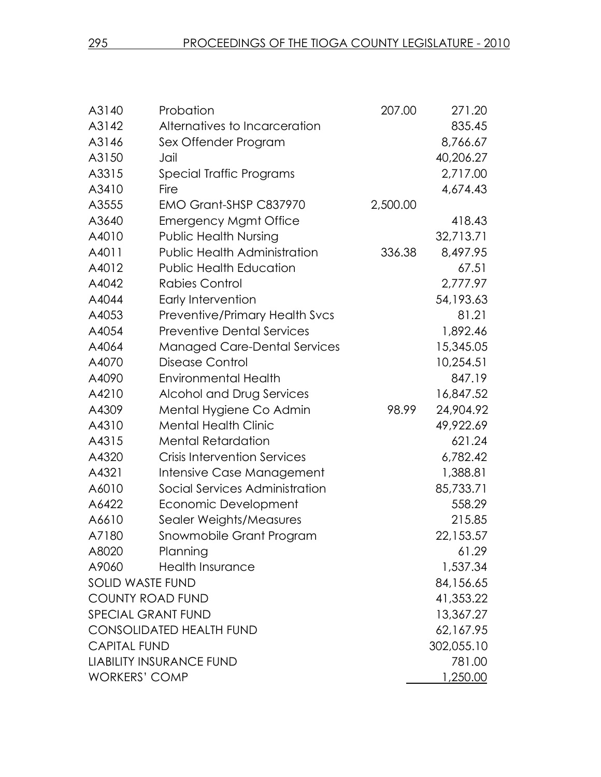| A3140                     | Probation                             | 207.00   | 271.20     |
|---------------------------|---------------------------------------|----------|------------|
| A3142                     | Alternatives to Incarceration         |          | 835.45     |
| A3146                     | Sex Offender Program                  |          | 8,766.67   |
| A3150                     | Jail                                  |          | 40,206.27  |
| A3315                     | Special Traffic Programs              |          | 2,717.00   |
| A3410                     | Fire                                  |          | 4,674.43   |
| A3555                     | EMO Grant-SHSP C837970                | 2,500.00 |            |
| A3640                     | <b>Emergency Mgmt Office</b>          |          | 418.43     |
| A4010                     | <b>Public Health Nursing</b>          |          | 32,713.71  |
| A4011                     | <b>Public Health Administration</b>   | 336.38   | 8,497.95   |
| A4012                     | <b>Public Health Education</b>        |          | 67.51      |
| A4042                     | Rabies Control                        |          | 2,777.97   |
| A4044                     | Early Intervention                    |          | 54,193.63  |
| A4053                     | <b>Preventive/Primary Health Svcs</b> |          | 81.21      |
| A4054                     | <b>Preventive Dental Services</b>     |          | 1,892.46   |
| A4064                     | <b>Managed Care-Dental Services</b>   |          | 15,345.05  |
| A4070                     | Disease Control                       |          | 10,254.51  |
| A4090                     | <b>Environmental Health</b>           |          | 847.19     |
| A4210                     | Alcohol and Drug Services             |          | 16,847.52  |
| A4309                     | Mental Hygiene Co Admin               | 98.99    | 24,904.92  |
| A4310                     | <b>Mental Health Clinic</b>           |          | 49,922.69  |
| A4315                     | <b>Mental Retardation</b>             |          | 621.24     |
| A4320                     | <b>Crisis Intervention Services</b>   |          | 6,782.42   |
| A4321                     | Intensive Case Management             |          | 1,388.81   |
| A6010                     | Social Services Administration        |          | 85,733.71  |
| A6422                     | Economic Development                  |          | 558.29     |
| A6610                     | Sealer Weights/Measures               |          | 215.85     |
| A7180                     | Snowmobile Grant Program              |          | 22,153.57  |
| A8020                     | Planning                              |          | 61.29      |
| A9060                     | <b>Health Insurance</b>               |          | 1,537.34   |
| <b>SOLID WASTE FUND</b>   |                                       |          | 84,156.65  |
| <b>COUNTY ROAD FUND</b>   |                                       |          | 41,353.22  |
| <b>SPECIAL GRANT FUND</b> |                                       |          | 13,367.27  |
|                           | <b>CONSOLIDATED HEALTH FUND</b>       |          | 62,167.95  |
| <b>CAPITAL FUND</b>       |                                       |          | 302,055.10 |
|                           | <b>LIABILITY INSURANCE FUND</b>       |          | 781.00     |
| <b>WORKERS' COMP</b>      |                                       |          | 1,250.00   |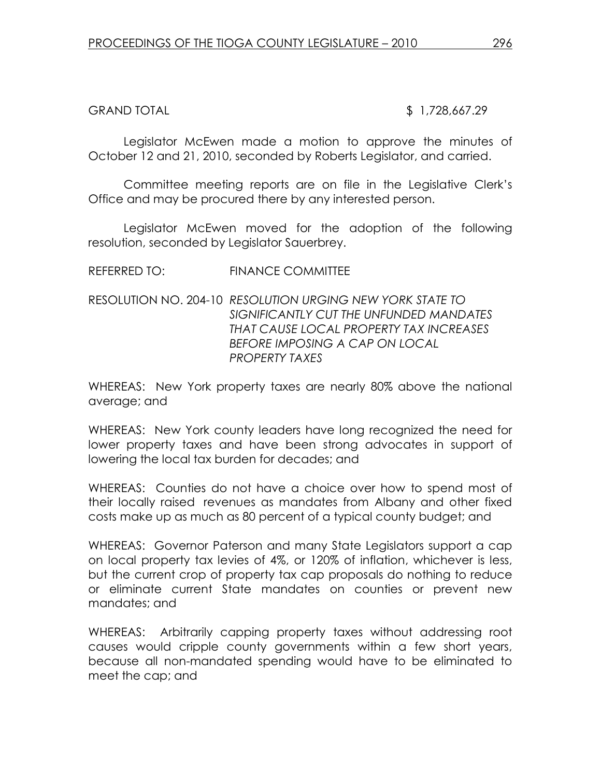GRAND TOTAL 5 1,728,667.29

Legislator McEwen made a motion to approve the minutes of October 12 and 21, 2010, seconded by Roberts Legislator, and carried.

Committee meeting reports are on file in the Legislative Clerk's Office and may be procured there by any interested person.

 Legislator McEwen moved for the adoption of the following resolution, seconded by Legislator Sauerbrey.

REFERRED TO: FINANCE COMMITTEE

RESOLUTION NO. 204-10 RESOLUTION URGING NEW YORK STATE TO SIGNIFICANTLY CUT THE UNFUNDED MANDATES THAT CAUSE LOCAL PROPERTY TAX INCREASES BEFORE IMPOSING A CAP ON LOCAL PROPERTY TAXES

WHEREAS: New York property taxes are nearly 80% above the national average; and

WHEREAS: New York county leaders have long recognized the need for lower property taxes and have been strong advocates in support of lowering the local tax burden for decades; and

WHEREAS: Counties do not have a choice over how to spend most of their locally raised revenues as mandates from Albany and other fixed costs make up as much as 80 percent of a typical county budget; and

WHEREAS: Governor Paterson and many State Legislators support a cap on local property tax levies of 4%, or 120% of inflation, whichever is less, but the current crop of property tax cap proposals do nothing to reduce or eliminate current State mandates on counties or prevent new mandates; and

WHEREAS: Arbitrarily capping property taxes without addressing root causes would cripple county governments within a few short years, because all non-mandated spending would have to be eliminated to meet the cap; and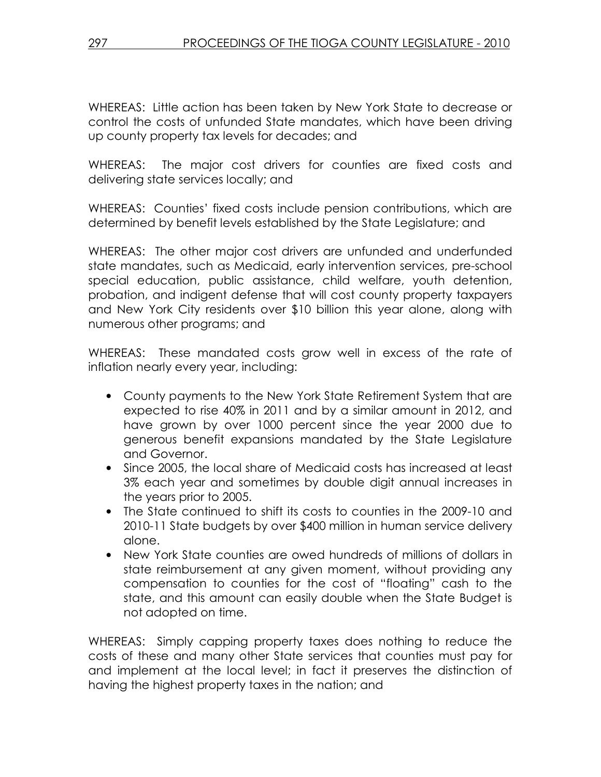WHEREAS: Little action has been taken by New York State to decrease or control the costs of unfunded State mandates, which have been driving up county property tax levels for decades; and

WHEREAS: The major cost drivers for counties are fixed costs and delivering state services locally; and

WHEREAS: Counties' fixed costs include pension contributions, which are determined by benefit levels established by the State Legislature; and

WHEREAS: The other major cost drivers are unfunded and underfunded state mandates, such as Medicaid, early intervention services, pre-school special education, public assistance, child welfare, youth detention, probation, and indigent defense that will cost county property taxpayers and New York City residents over \$10 billion this year alone, along with numerous other programs; and

WHEREAS: These mandated costs grow well in excess of the rate of inflation nearly every year, including:

- County payments to the New York State Retirement System that are expected to rise 40% in 2011 and by a similar amount in 2012, and have grown by over 1000 percent since the year 2000 due to generous benefit expansions mandated by the State Legislature and Governor.
- Since 2005, the local share of Medicaid costs has increased at least 3% each year and sometimes by double digit annual increases in the years prior to 2005.
- The State continued to shift its costs to counties in the 2009-10 and 2010-11 State budgets by over \$400 million in human service delivery alone.
- New York State counties are owed hundreds of millions of dollars in state reimbursement at any given moment, without providing any compensation to counties for the cost of "floating" cash to the state, and this amount can easily double when the State Budget is not adopted on time.

WHEREAS: Simply capping property taxes does nothing to reduce the costs of these and many other State services that counties must pay for and implement at the local level; in fact it preserves the distinction of having the highest property taxes in the nation; and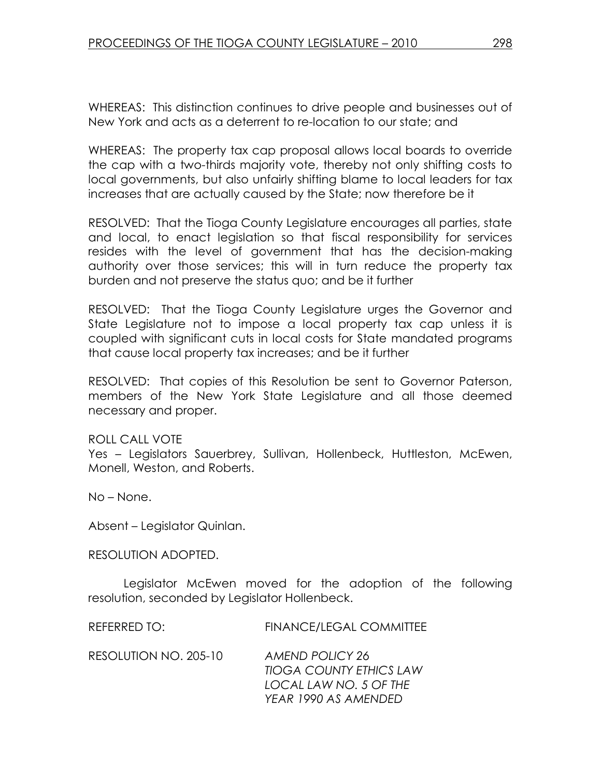WHEREAS: This distinction continues to drive people and businesses out of New York and acts as a deterrent to re-location to our state; and

WHEREAS: The property tax cap proposal allows local boards to override the cap with a two-thirds majority vote, thereby not only shifting costs to local governments, but also unfairly shifting blame to local leaders for tax increases that are actually caused by the State; now therefore be it

RESOLVED: That the Tioga County Legislature encourages all parties, state and local, to enact legislation so that fiscal responsibility for services resides with the level of government that has the decision-making authority over those services; this will in turn reduce the property tax burden and not preserve the status quo; and be it further

RESOLVED: That the Tioga County Legislature urges the Governor and State Legislature not to impose a local property tax cap unless it is coupled with significant cuts in local costs for State mandated programs that cause local property tax increases; and be it further

RESOLVED: That copies of this Resolution be sent to Governor Paterson, members of the New York State Legislature and all those deemed necessary and proper.

ROLL CALL VOTE

Yes – Legislators Sauerbrey, Sullivan, Hollenbeck, Huttleston, McEwen, Monell, Weston, and Roberts.

No – None.

Absent – Legislator Quinlan.

RESOLUTION ADOPTED.

Legislator McEwen moved for the adoption of the following resolution, seconded by Legislator Hollenbeck.

REFERRED TO: FINANCE/LEGAL COMMITTEE

RESOLUTION NO. 205-10 AMEND POLICY 26 TIOGA COUNTY ETHICS LAW LOCAL LAW NO. 5 OF THE YEAR 1990 AS AMENDED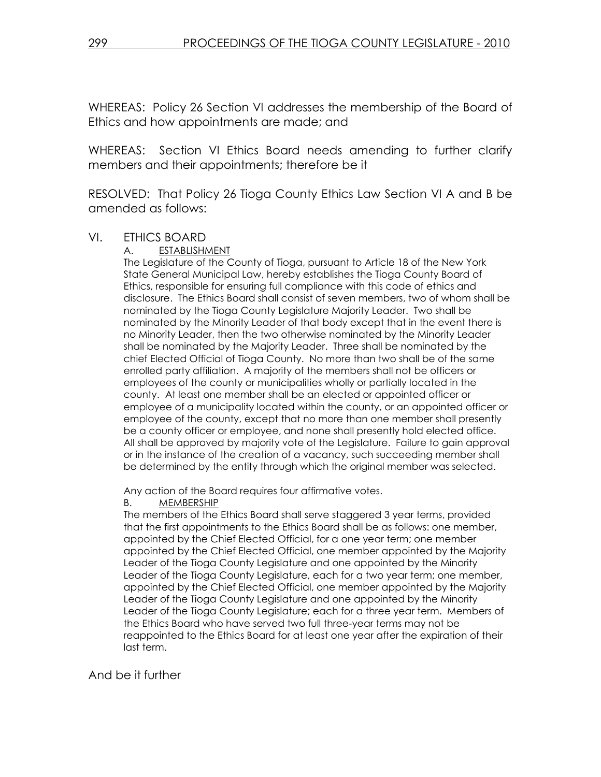WHEREAS: Policy 26 Section VI addresses the membership of the Board of Ethics and how appointments are made; and

WHEREAS: Section VI Ethics Board needs amending to further clarify members and their appointments; therefore be it

RESOLVED: That Policy 26 Tioga County Ethics Law Section VI A and B be amended as follows:

#### VI. ETHICS BOARD

A. ESTABLISHMENT

The Legislature of the County of Tioga, pursuant to Article 18 of the New York State General Municipal Law, hereby establishes the Tioga County Board of Ethics, responsible for ensuring full compliance with this code of ethics and disclosure. The Ethics Board shall consist of seven members, two of whom shall be nominated by the Tioga County Legislature Majority Leader. Two shall be nominated by the Minority Leader of that body except that in the event there is no Minority Leader, then the two otherwise nominated by the Minority Leader shall be nominated by the Majority Leader. Three shall be nominated by the chief Elected Official of Tioga County. No more than two shall be of the same enrolled party affiliation. A majority of the members shall not be officers or employees of the county or municipalities wholly or partially located in the county. At least one member shall be an elected or appointed officer or employee of a municipality located within the county, or an appointed officer or employee of the county, except that no more than one member shall presently be a county officer or employee, and none shall presently hold elected office. All shall be approved by majority vote of the Legislature. Failure to gain approval or in the instance of the creation of a vacancy, such succeeding member shall be determined by the entity through which the original member was selected.

Any action of the Board requires four affirmative votes.

#### B. MEMBERSHIP

The members of the Ethics Board shall serve staggered 3 year terms, provided that the first appointments to the Ethics Board shall be as follows: one member, appointed by the Chief Elected Official, for a one year term; one member appointed by the Chief Elected Official, one member appointed by the Majority Leader of the Tioga County Legislature and one appointed by the Minority Leader of the Tioga County Legislature, each for a two year term; one member, appointed by the Chief Elected Official, one member appointed by the Majority Leader of the Tioga County Legislature and one appointed by the Minority Leader of the Tioga County Legislature; each for a three year term. Members of the Ethics Board who have served two full three-year terms may not be reappointed to the Ethics Board for at least one year after the expiration of their last term.

And be it further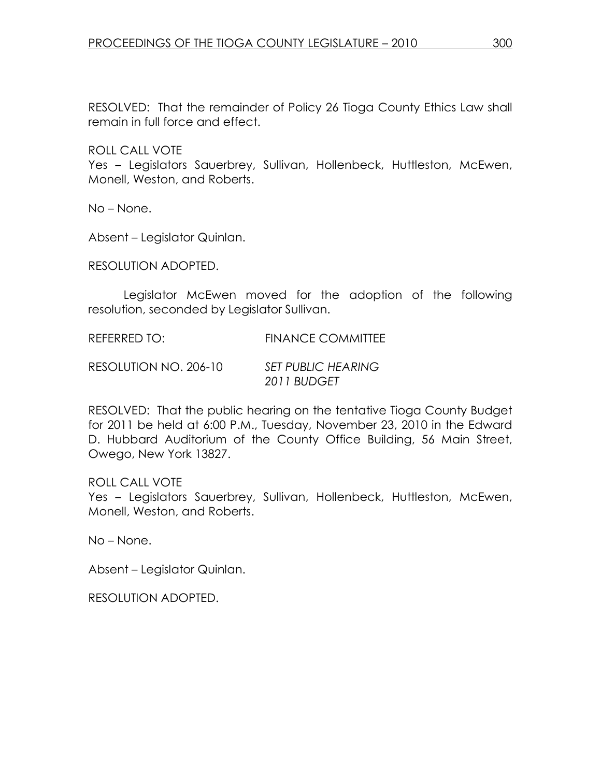RESOLVED: That the remainder of Policy 26 Tioga County Ethics Law shall remain in full force and effect.

ROLL CALL VOTE

Yes - Legislators Sauerbrey, Sullivan, Hollenbeck, Huttleston, McEwen, Monell, Weston, and Roberts.

No – None.

Absent – Legislator Quinlan.

RESOLUTION ADOPTED.

Legislator McEwen moved for the adoption of the following resolution, seconded by Legislator Sullivan.

REFERRED TO: FINANCE COMMITTEE

RESOLUTION NO. 206-10 SET PUBLIC HEARING 2011 BUDGET

RESOLVED: That the public hearing on the tentative Tioga County Budget for 2011 be held at 6:00 P.M., Tuesday, November 23, 2010 in the Edward D. Hubbard Auditorium of the County Office Building, 56 Main Street, Owego, New York 13827.

ROLL CALL VOTE Yes – Legislators Sauerbrey, Sullivan, Hollenbeck, Huttleston, McEwen, Monell, Weston, and Roberts.

No – None.

Absent – Legislator Quinlan.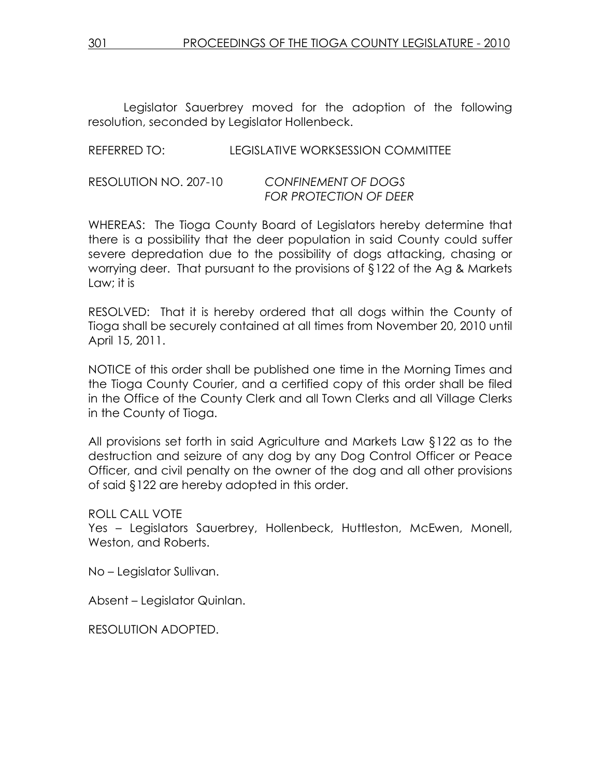Legislator Sauerbrey moved for the adoption of the following resolution, seconded by Legislator Hollenbeck.

REFERRED TO: LEGISLATIVE WORKSESSION COMMITTEE

| RESOLUTION NO. 207-10 | <b>CONFINEMENT OF DOGS</b>    |
|-----------------------|-------------------------------|
|                       | <b>FOR PROTECTION OF DEER</b> |

WHEREAS: The Tioga County Board of Legislators hereby determine that there is a possibility that the deer population in said County could suffer severe depredation due to the possibility of dogs attacking, chasing or worrying deer. That pursuant to the provisions of §122 of the Ag & Markets Law; it is

RESOLVED: That it is hereby ordered that all dogs within the County of Tioga shall be securely contained at all times from November 20, 2010 until April 15, 2011.

NOTICE of this order shall be published one time in the Morning Times and the Tioga County Courier, and a certified copy of this order shall be filed in the Office of the County Clerk and all Town Clerks and all Village Clerks in the County of Tioga.

All provisions set forth in said Agriculture and Markets Law §122 as to the destruction and seizure of any dog by any Dog Control Officer or Peace Officer, and civil penalty on the owner of the dog and all other provisions of said §122 are hereby adopted in this order.

ROLL CALL VOTE

Yes – Legislators Sauerbrey, Hollenbeck, Huttleston, McEwen, Monell, Weston, and Roberts.

No – Legislator Sullivan.

Absent – Legislator Quinlan.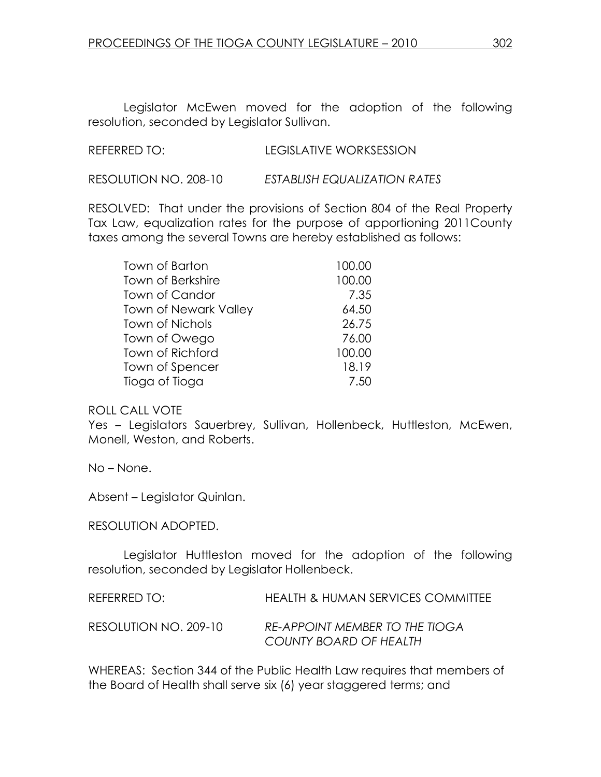Legislator McEwen moved for the adoption of the following resolution, seconded by Legislator Sullivan.

RESOLUTION NO. 208-10 ESTABLISH EQUALIZATION RATES

RESOLVED: That under the provisions of Section 804 of the Real Property Tax Law, equalization rates for the purpose of apportioning 2011County taxes among the several Towns are hereby established as follows:

| Town of Barton               | 100.00 |
|------------------------------|--------|
| Town of Berkshire            | 100.00 |
| Town of Candor               | 7.35   |
| <b>Town of Newark Valley</b> | 64.50  |
| <b>Town of Nichols</b>       | 26.75  |
| Town of Owego                | 76.00  |
| Town of Richford             | 100.00 |
| Town of Spencer              | 18.19  |
| Tioga of Tioga               | 7.50   |

#### ROLL CALL VOTE

Yes – Legislators Sauerbrey, Sullivan, Hollenbeck, Huttleston, McEwen, Monell, Weston, and Roberts.

No – None.

Absent – Legislator Quinlan.

#### RESOLUTION ADOPTED.

Legislator Huttleston moved for the adoption of the following resolution, seconded by Legislator Hollenbeck.

| REFERRED TO:          | HEALTH & HUMAN SERVICES COMMITTEE                               |
|-----------------------|-----------------------------------------------------------------|
| RESOLUTION NO. 209-10 | <b>RE-APPOINT MEMBER TO THE TIOGA</b><br>COUNTY BOARD OF HEALTH |

WHEREAS: Section 344 of the Public Health Law requires that members of the Board of Health shall serve six (6) year staggered terms; and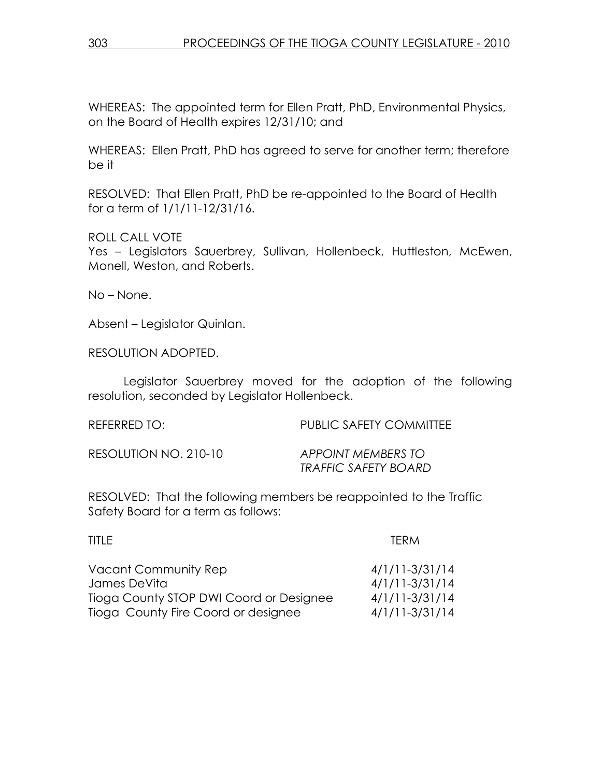WHEREAS: The appointed term for Ellen Pratt, PhD, Environmental Physics, on the Board of Health expires 12/31/10; and

WHEREAS: Ellen Pratt, PhD has agreed to serve for another term; therefore be it

RESOLVED: That Ellen Pratt, PhD be re-appointed to the Board of Health for a term of 1/1/11-12/31/16.

ROLL CALL VOTE

Yes - Legislators Sauerbrey, Sullivan, Hollenbeck, Huttleston, McEwen, Monell, Weston, and Roberts.

No – None.

Absent – Legislator Quinlan.

RESOLUTION ADOPTED.

Legislator Sauerbrey moved for the adoption of the following resolution, seconded by Legislator Hollenbeck.

| REFERRED TO:          | <b>PUBLIC SAFETY COMMITTEE</b>                    |
|-----------------------|---------------------------------------------------|
| RESOLUTION NO. 210-10 | APPOINT MEMBERS TO<br><b>TRAFFIC SAFETY BOARD</b> |

RESOLVED: That the following members be reappointed to the Traffic Safety Board for a term as follows:

| <b>TFRM</b>      |
|------------------|
| $4/1/11-3/31/14$ |
| $4/1/11-3/31/14$ |
| $4/1/11-3/31/14$ |
| $4/1/11-3/31/14$ |
|                  |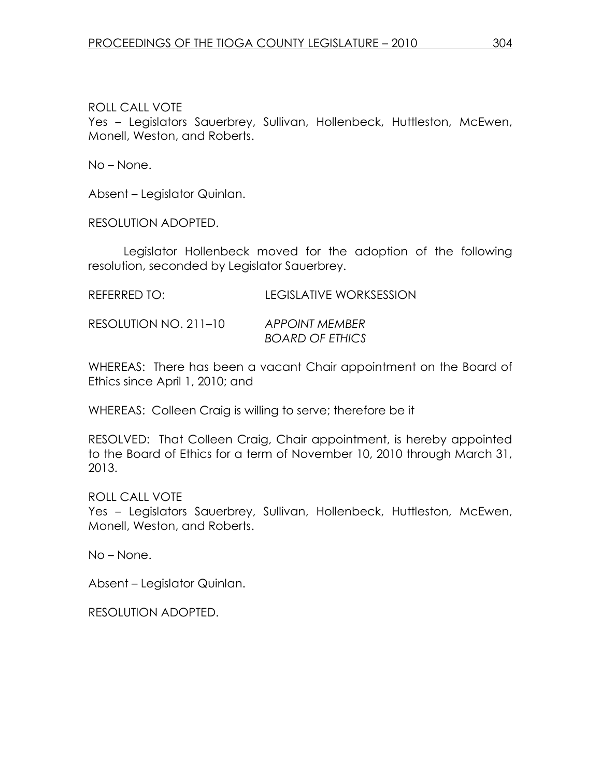Yes – Legislators Sauerbrey, Sullivan, Hollenbeck, Huttleston, McEwen, Monell, Weston, and Roberts.

No – None.

Absent – Legislator Quinlan.

RESOLUTION ADOPTED.

Legislator Hollenbeck moved for the adoption of the following resolution, seconded by Legislator Sauerbrey.

| REFERRED TO: | <b>LEGISLATIVE WORKSESSION</b> |
|--------------|--------------------------------|
|              |                                |

RESOLUTION NO. 211–10 APPOINT MEMBER BOARD OF ETHICS

WHEREAS: There has been a vacant Chair appointment on the Board of Ethics since April 1, 2010; and

WHEREAS: Colleen Craig is willing to serve; therefore be it

RESOLVED: That Colleen Craig, Chair appointment, is hereby appointed to the Board of Ethics for a term of November 10, 2010 through March 31, 2013.

ROLL CALL VOTE Yes – Legislators Sauerbrey, Sullivan, Hollenbeck, Huttleston, McEwen, Monell, Weston, and Roberts.

No – None.

Absent – Legislator Quinlan.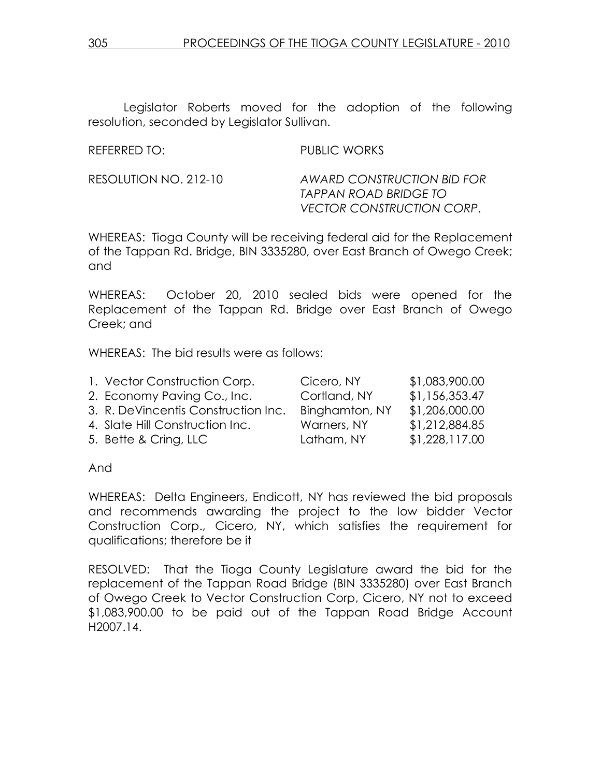Legislator Roberts moved for the adoption of the following resolution, seconded by Legislator Sullivan.

### REFERRED TO: PUBLIC WORKS

RESOLUTION NO. 212-10 AWARD CONSTRUCTION BID FOR TAPPAN ROAD BRIDGE TO VECTOR CONSTRUCTION CORP.

WHEREAS: Tioga County will be receiving federal aid for the Replacement of the Tappan Rd. Bridge, BIN 3335280, over East Branch of Owego Creek; and

WHEREAS: October 20, 2010 sealed bids were opened for the Replacement of the Tappan Rd. Bridge over East Branch of Owego Creek; and

WHEREAS: The bid results were as follows:

| 1. Vector Construction Corp.        | Cicero, NY     | \$1,083,900.00 |
|-------------------------------------|----------------|----------------|
| 2. Economy Paving Co., Inc.         | Cortland, NY   | \$1,156,353.47 |
| 3. R. DeVincentis Construction Inc. | Binghamton, NY | \$1,206,000.00 |
| 4. Slate Hill Construction Inc.     | Warners, NY    | \$1,212,884.85 |
| 5. Bette & Cring, LLC               | Latham, NY     | \$1,228,117.00 |

And

WHEREAS: Delta Engineers, Endicott, NY has reviewed the bid proposals and recommends awarding the project to the low bidder Vector Construction Corp., Cicero, NY, which satisfies the requirement for qualifications; therefore be it

RESOLVED: That the Tioga County Legislature award the bid for the replacement of the Tappan Road Bridge (BIN 3335280) over East Branch of Owego Creek to Vector Construction Corp, Cicero, NY not to exceed \$1,083,900.00 to be paid out of the Tappan Road Bridge Account H2007.14.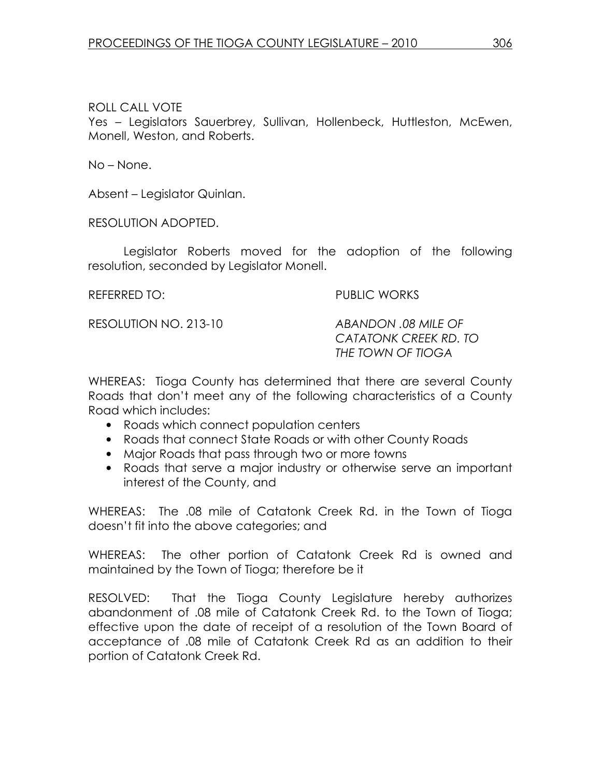Yes - Legislators Sauerbrey, Sullivan, Hollenbeck, Huttleston, McEwen, Monell, Weston, and Roberts.

No – None.

Absent – Legislator Quinlan.

RESOLUTION ADOPTED.

Legislator Roberts moved for the adoption of the following resolution, seconded by Legislator Monell.

### REFERRED TO: The PUBLIC WORKS

RESOLUTION NO. 213-10 ABANDON .08 MILE OF

 CATATONK CREEK RD. TO THE TOWN OF TIOGA

WHEREAS: Tioga County has determined that there are several County Roads that don't meet any of the following characteristics of a County Road which includes:

- Roads which connect population centers
- Roads that connect State Roads or with other County Roads
- Major Roads that pass through two or more towns
- Roads that serve a major industry or otherwise serve an important interest of the County, and

WHEREAS: The .08 mile of Catatonk Creek Rd. in the Town of Tioga doesn't fit into the above categories; and

WHEREAS: The other portion of Catatonk Creek Rd is owned and maintained by the Town of Tioga; therefore be it

RESOLVED: That the Tioga County Legislature hereby authorizes abandonment of .08 mile of Catatonk Creek Rd. to the Town of Tioga; effective upon the date of receipt of a resolution of the Town Board of acceptance of .08 mile of Catatonk Creek Rd as an addition to their portion of Catatonk Creek Rd.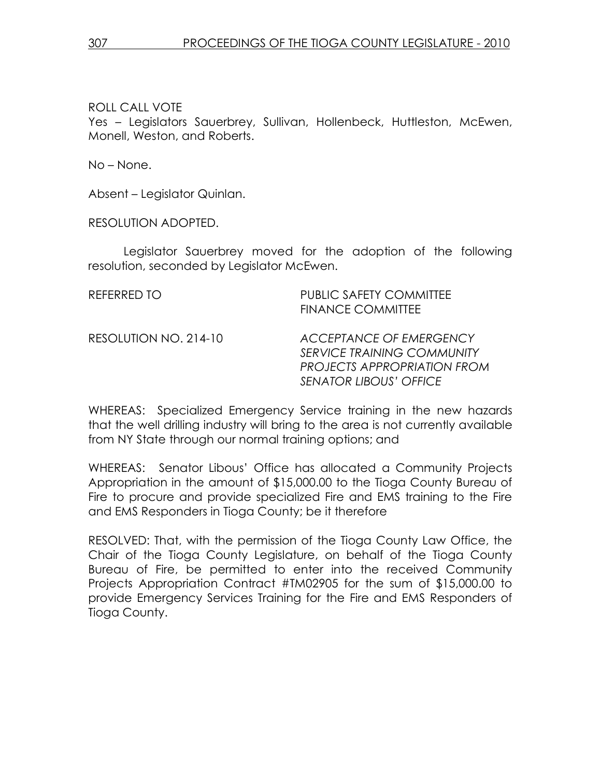Yes – Legislators Sauerbrey, Sullivan, Hollenbeck, Huttleston, McEwen, Monell, Weston, and Roberts.

No – None.

Absent – Legislator Quinlan.

RESOLUTION ADOPTED.

Legislator Sauerbrey moved for the adoption of the following resolution, seconded by Legislator McEwen.

| REFERRED TO           | <b>PUBLIC SAFETY COMMITTEE</b><br><b>FINANCE COMMITTEE</b>                                                                          |
|-----------------------|-------------------------------------------------------------------------------------------------------------------------------------|
| RESOLUTION NO. 214-10 | ACCEPTANCE OF EMERGENCY<br><b>SERVICE TRAINING COMMUNITY</b><br><b>PROJECTS APPROPRIATION FROM</b><br><b>SENATOR LIBOUS' OFFICE</b> |

WHEREAS: Specialized Emergency Service training in the new hazards that the well drilling industry will bring to the area is not currently available from NY State through our normal training options; and

WHEREAS: Senator Libous' Office has allocated a Community Projects Appropriation in the amount of \$15,000.00 to the Tioga County Bureau of Fire to procure and provide specialized Fire and EMS training to the Fire and EMS Responders in Tioga County; be it therefore

RESOLVED: That, with the permission of the Tioga County Law Office, the Chair of the Tioga County Legislature, on behalf of the Tioga County Bureau of Fire, be permitted to enter into the received Community Projects Appropriation Contract #TM02905 for the sum of \$15,000.00 to provide Emergency Services Training for the Fire and EMS Responders of Tioga County.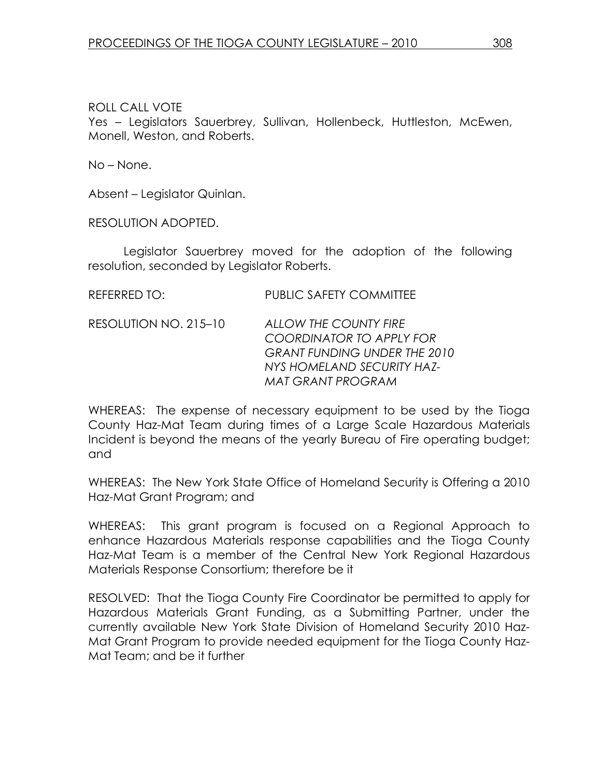Yes - Legislators Sauerbrey, Sullivan, Hollenbeck, Huttleston, McEwen, Monell, Weston, and Roberts.

No – None.

Absent – Legislator Quinlan.

RESOLUTION ADOPTED.

Legislator Sauerbrey moved for the adoption of the following resolution, seconded by Legislator Roberts.

| REFERRED TO:          | <b>PUBLIC SAFETY COMMITTEE</b>                                                                                                              |
|-----------------------|---------------------------------------------------------------------------------------------------------------------------------------------|
| RESOLUTION NO. 215-10 | ALLOW THE COUNTY FIRE<br>COORDINATOR TO APPLY FOR<br><b>GRANT FUNDING UNDER THE 2010</b><br>NYS HOMELAND SECURITY HAZ-<br>MAT GRANT PROGRAM |

WHEREAS: The expense of necessary equipment to be used by the Tioga County Haz-Mat Team during times of a Large Scale Hazardous Materials Incident is beyond the means of the yearly Bureau of Fire operating budget; and

WHEREAS: The New York State Office of Homeland Security is Offering a 2010 Haz-Mat Grant Program; and

WHEREAS: This grant program is focused on a Regional Approach to enhance Hazardous Materials response capabilities and the Tioga County Haz-Mat Team is a member of the Central New York Regional Hazardous Materials Response Consortium; therefore be it

RESOLVED: That the Tioga County Fire Coordinator be permitted to apply for Hazardous Materials Grant Funding, as a Submitting Partner, under the currently available New York State Division of Homeland Security 2010 Haz-Mat Grant Program to provide needed equipment for the Tioga County Haz-Mat Team; and be it further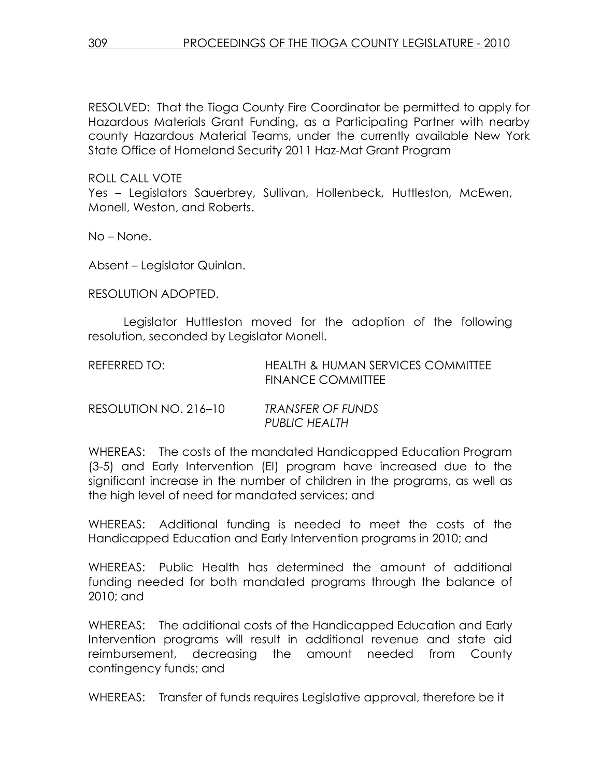RESOLVED: That the Tioga County Fire Coordinator be permitted to apply for Hazardous Materials Grant Funding, as a Participating Partner with nearby county Hazardous Material Teams, under the currently available New York State Office of Homeland Security 2011 Haz-Mat Grant Program

ROLL CALL VOTE

Yes – Legislators Sauerbrey, Sullivan, Hollenbeck, Huttleston, McEwen, Monell, Weston, and Roberts.

No – None.

Absent – Legislator Quinlan.

RESOLUTION ADOPTED.

Legislator Huttleston moved for the adoption of the following resolution, seconded by Legislator Monell.

| REFERRED TO:          | HEALTH & HUMAN SERVICES COMMITTEE<br><b>FINANCE COMMITTEE</b> |
|-----------------------|---------------------------------------------------------------|
| RESOLUTION NO. 216-10 | TRANSFER OF FUNDS                                             |

| RESOLUIION NO. 216–10 | IRANSFER OF FUNDS    |
|-----------------------|----------------------|
|                       | <b>PUBLIC HEALTH</b> |
|                       |                      |

WHEREAS: The costs of the mandated Handicapped Education Program (3-5) and Early Intervention (EI) program have increased due to the significant increase in the number of children in the programs, as well as the high level of need for mandated services; and

WHEREAS: Additional funding is needed to meet the costs of the Handicapped Education and Early Intervention programs in 2010; and

WHEREAS: Public Health has determined the amount of additional funding needed for both mandated programs through the balance of 2010; and

WHEREAS: The additional costs of the Handicapped Education and Early Intervention programs will result in additional revenue and state aid reimbursement, decreasing the amount needed from County contingency funds; and

WHEREAS: Transfer of funds requires Legislative approval, therefore be it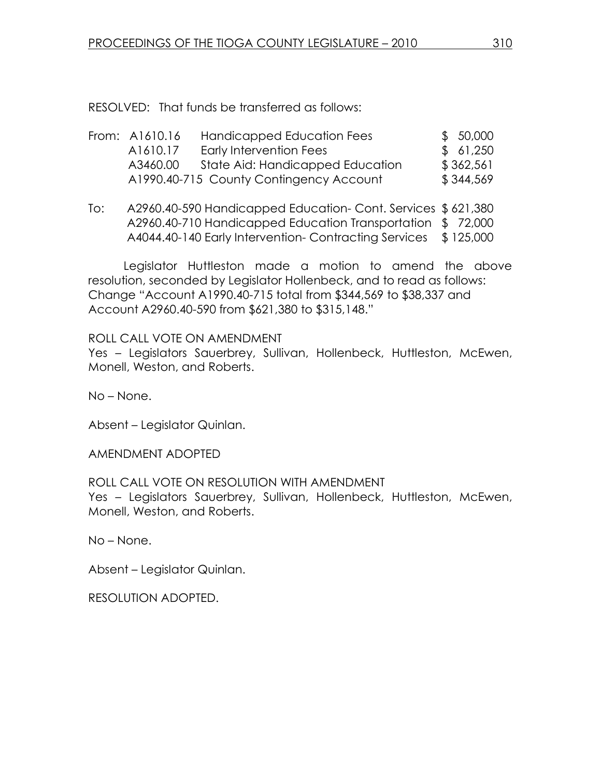RESOLVED: That funds be transferred as follows:

| From: A1610.16 | Handicapped Education Fees              | \$50,000  |
|----------------|-----------------------------------------|-----------|
| A1610.17       | Early Intervention Fees                 | \$61,250  |
| A3460.00       | State Aid: Handicapped Education        | \$362,561 |
|                | A1990.40-715 County Contingency Account | \$344,569 |

To: A2960.40-590 Handicapped Education- Cont. Services \$ 621,380 A2960.40-710 Handicapped Education Transportation \$ 72,000 A4044.40-140 Early Intervention- Contracting Services \$ 125,000

 Legislator Huttleston made a motion to amend the above resolution, seconded by Legislator Hollenbeck, and to read as follows: Change "Account A1990.40-715 total from \$344,569 to \$38,337 and Account A2960.40-590 from \$621,380 to \$315,148."

ROLL CALL VOTE ON AMENDMENT

Yes – Legislators Sauerbrey, Sullivan, Hollenbeck, Huttleston, McEwen, Monell, Weston, and Roberts.

No – None.

Absent – Legislator Quinlan.

AMENDMENT ADOPTED

ROLL CALL VOTE ON RESOLUTION WITH AMENDMENT Yes – Legislators Sauerbrey, Sullivan, Hollenbeck, Huttleston, McEwen, Monell, Weston, and Roberts.

No – None.

Absent – Legislator Quinlan.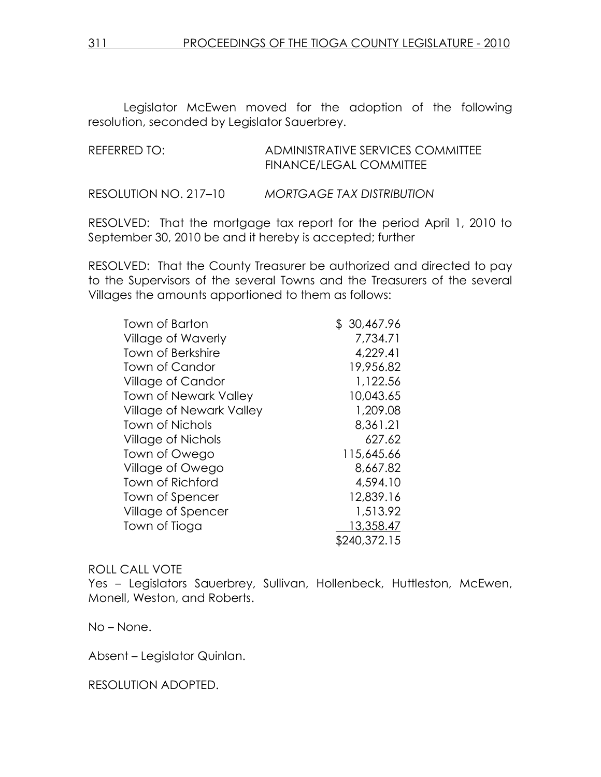Legislator McEwen moved for the adoption of the following resolution, seconded by Legislator Sauerbrey.

| REFERRED TO:          | ADMINISTRATIVE SERVICES COMMITTEE<br>FINANCE/LEGAL COMMITTEE |  |  |  |  |
|-----------------------|--------------------------------------------------------------|--|--|--|--|
| RESOLUTION NO. 217–10 | <b>MORTGAGE TAX DISTRIBUTION</b>                             |  |  |  |  |

RESOLVED: That the mortgage tax report for the period April 1, 2010 to September 30, 2010 be and it hereby is accepted; further

RESOLVED: That the County Treasurer be authorized and directed to pay to the Supervisors of the several Towns and the Treasurers of the several Villages the amounts apportioned to them as follows:

| Town of Barton                  | \$30,467.96  |
|---------------------------------|--------------|
| <b>Village of Waverly</b>       | 7,734.71     |
| <b>Town of Berkshire</b>        | 4,229.41     |
| Town of Candor                  | 19,956.82    |
| <b>Village of Candor</b>        | 1,122.56     |
| <b>Town of Newark Valley</b>    | 10,043.65    |
| <b>Village of Newark Valley</b> | 1,209.08     |
| <b>Town of Nichols</b>          | 8,361.21     |
| Village of Nichols              | 627.62       |
| Town of Owego                   | 115,645.66   |
| Village of Owego                | 8,667.82     |
| Town of Richford                | 4,594.10     |
| Town of Spencer                 | 12,839.16    |
| Village of Spencer              | 1,513.92     |
| Town of Tioga                   | 13,358.47    |
|                                 | \$240,372.15 |

#### ROLL CALL VOTE

Yes - Legislators Sauerbrey, Sullivan, Hollenbeck, Huttleston, McEwen, Monell, Weston, and Roberts.

No – None.

Absent – Legislator Quinlan.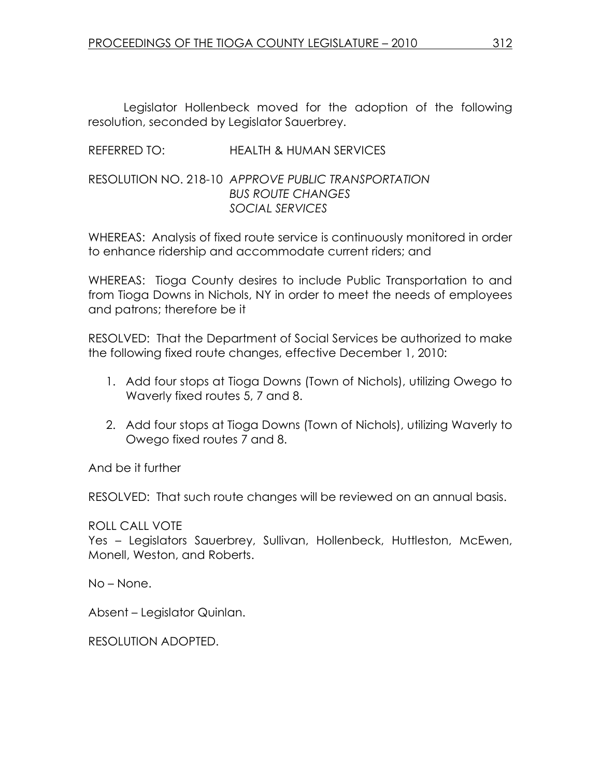Legislator Hollenbeck moved for the adoption of the following resolution, seconded by Legislator Sauerbrey.

## REFERRED TO: HEALTH & HUMAN SERVICES

### RESOLUTION NO. 218-10 APPROVE PUBLIC TRANSPORTATION BUS ROUTE CHANGES SOCIAL SERVICES

WHEREAS: Analysis of fixed route service is continuously monitored in order to enhance ridership and accommodate current riders; and

WHEREAS: Tioga County desires to include Public Transportation to and from Tioga Downs in Nichols, NY in order to meet the needs of employees and patrons; therefore be it

RESOLVED: That the Department of Social Services be authorized to make the following fixed route changes, effective December 1, 2010:

- 1. Add four stops at Tioga Downs (Town of Nichols), utilizing Owego to Waverly fixed routes 5, 7 and 8.
- 2. Add four stops at Tioga Downs (Town of Nichols), utilizing Waverly to Owego fixed routes 7 and 8.

And be it further

RESOLVED: That such route changes will be reviewed on an annual basis.

ROLL CALL VOTE

Yes – Legislators Sauerbrey, Sullivan, Hollenbeck, Huttleston, McEwen, Monell, Weston, and Roberts.

No – None.

Absent – Legislator Quinlan.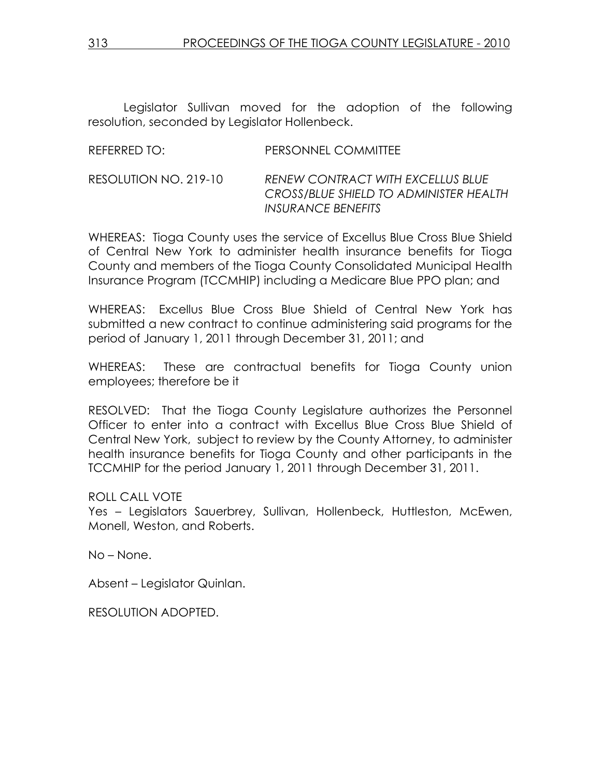Legislator Sullivan moved for the adoption of the following resolution, seconded by Legislator Hollenbeck.

| REFERRED TO: | PERSONNEL COMMITTEE |
|--------------|---------------------|
|              |                     |

RESOLUTION NO. 219-10 RENEW CONTRACT WITH EXCELLUS BLUE CROSS/BLUE SHIELD TO ADMINISTER HEALTH INSURANCE BENEFITS

WHEREAS: Tioga County uses the service of Excellus Blue Cross Blue Shield of Central New York to administer health insurance benefits for Tioga County and members of the Tioga County Consolidated Municipal Health Insurance Program (TCCMHIP) including a Medicare Blue PPO plan; and

WHEREAS: Excellus Blue Cross Blue Shield of Central New York has submitted a new contract to continue administering said programs for the period of January 1, 2011 through December 31, 2011; and

WHEREAS: These are contractual benefits for Tioga County union employees; therefore be it

RESOLVED: That the Tioga County Legislature authorizes the Personnel Officer to enter into a contract with Excellus Blue Cross Blue Shield of Central New York, subject to review by the County Attorney, to administer health insurance benefits for Tioga County and other participants in the TCCMHIP for the period January 1, 2011 through December 31, 2011.

ROLL CALL VOTE

Yes – Legislators Sauerbrey, Sullivan, Hollenbeck, Huttleston, McEwen, Monell, Weston, and Roberts.

No – None.

Absent – Legislator Quinlan.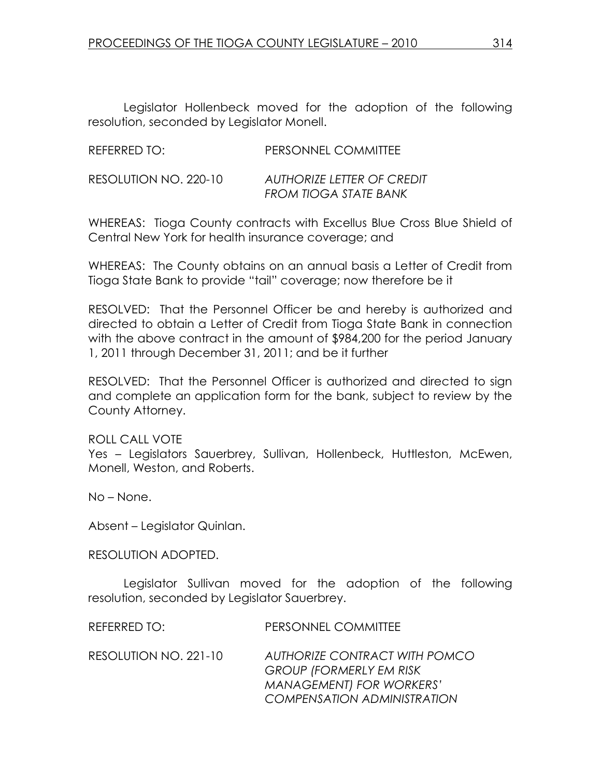Legislator Hollenbeck moved for the adoption of the following resolution, seconded by Legislator Monell.

| REFERRED TO:          | PERSONNEL COMMITTEE                                 |
|-----------------------|-----------------------------------------------------|
| RESOLUTION NO. 220-10 | AUTHORIZE LETTER OF CREDIT<br>FROM TIOGA STATE BANK |

WHEREAS: Tioga County contracts with Excellus Blue Cross Blue Shield of Central New York for health insurance coverage; and

WHEREAS: The County obtains on an annual basis a Letter of Credit from Tioga State Bank to provide "tail" coverage; now therefore be it

RESOLVED: That the Personnel Officer be and hereby is authorized and directed to obtain a Letter of Credit from Tioga State Bank in connection with the above contract in the amount of \$984,200 for the period January 1, 2011 through December 31, 2011; and be it further

RESOLVED: That the Personnel Officer is authorized and directed to sign and complete an application form for the bank, subject to review by the County Attorney.

ROLL CALL VOTE Yes – Legislators Sauerbrey, Sullivan, Hollenbeck, Huttleston, McEwen, Monell, Weston, and Roberts.

No – None.

Absent – Legislator Quinlan.

RESOLUTION ADOPTED.

Legislator Sullivan moved for the adoption of the following resolution, seconded by Legislator Sauerbrey.

REFERRED TO: PERSONNEL COMMITTEE

RESOLUTION NO. 221-10 AUTHORIZE CONTRACT WITH POMCO GROUP (FORMERLY EM RISK MANAGEMENT) FOR WORKERS' COMPENSATION ADMINISTRATION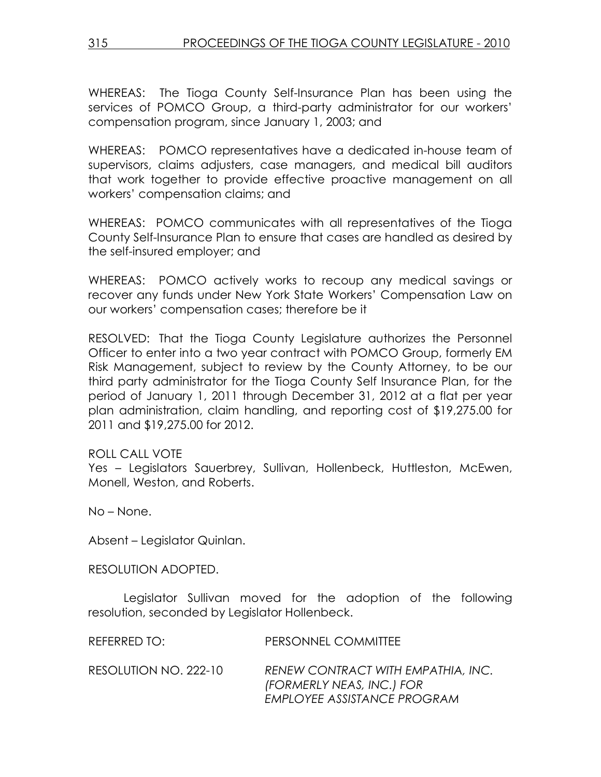WHEREAS: The Tioga County Self-Insurance Plan has been using the services of POMCO Group, a third-party administrator for our workers' compensation program, since January 1, 2003; and

WHEREAS: POMCO representatives have a dedicated in-house team of supervisors, claims adjusters, case managers, and medical bill auditors that work together to provide effective proactive management on all workers' compensation claims; and

WHEREAS: POMCO communicates with all representatives of the Tioga County Self-Insurance Plan to ensure that cases are handled as desired by the self-insured employer; and

WHEREAS: POMCO actively works to recoup any medical savings or recover any funds under New York State Workers' Compensation Law on our workers' compensation cases; therefore be it

RESOLVED: That the Tioga County Legislature authorizes the Personnel Officer to enter into a two year contract with POMCO Group, formerly EM Risk Management, subject to review by the County Attorney, to be our third party administrator for the Tioga County Self Insurance Plan, for the period of January 1, 2011 through December 31, 2012 at a flat per year plan administration, claim handling, and reporting cost of \$19,275.00 for 2011 and \$19,275.00 for 2012.

### ROLL CALL VOTE

Yes – Legislators Sauerbrey, Sullivan, Hollenbeck, Huttleston, McEwen, Monell, Weston, and Roberts.

No – None.

Absent – Legislator Quinlan.

RESOLUTION ADOPTED.

Legislator Sullivan moved for the adoption of the following resolution, seconded by Legislator Hollenbeck.

| REFERRED TO:          | PERSONNEL COMMITTEE                                                                            |
|-----------------------|------------------------------------------------------------------------------------------------|
| RESOLUTION NO. 222-10 | RENEW CONTRACT WITH EMPATHIA, INC.<br>(FORMERLY NEAS, INC.) FOR<br>EMPLOYEE ASSISTANCE PROGRAM |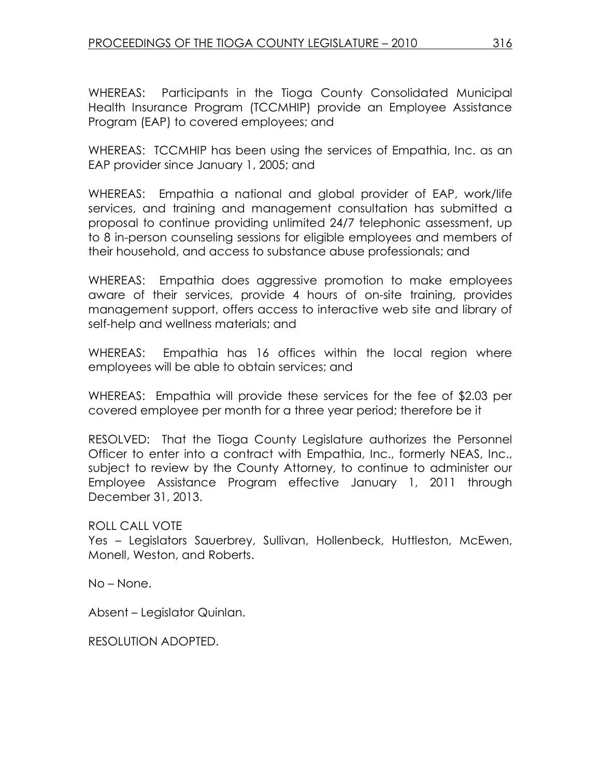WHEREAS: Participants in the Tioga County Consolidated Municipal Health Insurance Program (TCCMHIP) provide an Employee Assistance Program (EAP) to covered employees; and

WHEREAS: TCCMHIP has been using the services of Empathia, Inc. as an EAP provider since January 1, 2005; and

WHEREAS: Empathia a national and global provider of EAP, work/life services, and training and management consultation has submitted a proposal to continue providing unlimited 24/7 telephonic assessment, up to 8 in-person counseling sessions for eligible employees and members of their household, and access to substance abuse professionals; and

WHEREAS: Empathia does aggressive promotion to make employees aware of their services, provide 4 hours of on-site training, provides management support, offers access to interactive web site and library of self-help and wellness materials; and

WHEREAS: Empathia has 16 offices within the local region where employees will be able to obtain services; and

WHEREAS: Empathia will provide these services for the fee of \$2.03 per covered employee per month for a three year period; therefore be it

RESOLVED: That the Tioga County Legislature authorizes the Personnel Officer to enter into a contract with Empathia, Inc., formerly NEAS, Inc., subject to review by the County Attorney, to continue to administer our Employee Assistance Program effective January 1, 2011 through December 31, 2013.

ROLL CALL VOTE

Yes – Legislators Sauerbrey, Sullivan, Hollenbeck, Huttleston, McEwen, Monell, Weston, and Roberts.

No – None.

Absent – Legislator Quinlan.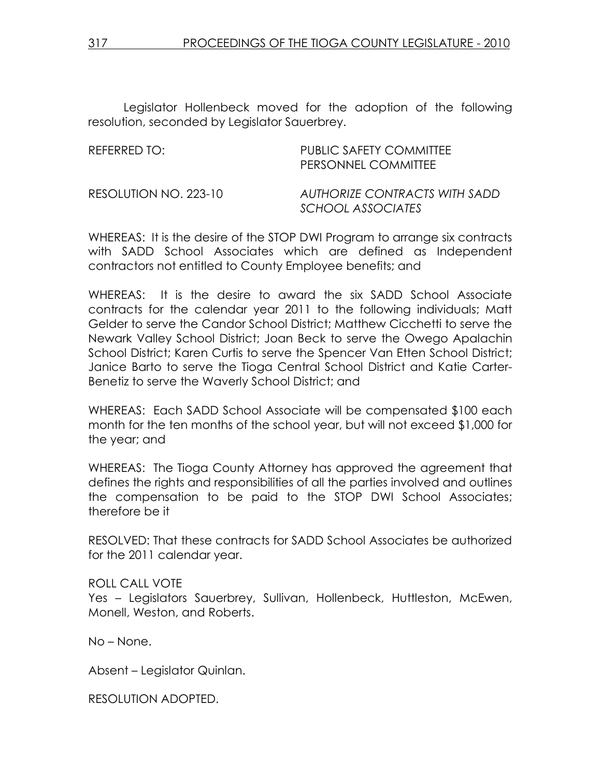Legislator Hollenbeck moved for the adoption of the following resolution, seconded by Legislator Sauerbrey.

REFERRED TO: PUBLIC SAFETY COMMITTEE PERSONNEL COMMITTEE RESOLUTION NO. 223-10 AUTHORIZE CONTRACTS WITH SADD SCHOOL ASSOCIATES

WHEREAS: It is the desire of the STOP DWI Program to arrange six contracts with SADD School Associates which are defined as Independent contractors not entitled to County Employee benefits; and

WHEREAS: It is the desire to award the six SADD School Associate contracts for the calendar year 2011 to the following individuals; Matt Gelder to serve the Candor School District; Matthew Cicchetti to serve the Newark Valley School District; Joan Beck to serve the Owego Apalachin School District; Karen Curtis to serve the Spencer Van Etten School District; Janice Barto to serve the Tioga Central School District and Katie Carter-Benetiz to serve the Waverly School District; and

WHEREAS: Each SADD School Associate will be compensated \$100 each month for the ten months of the school year, but will not exceed \$1,000 for the year; and

WHEREAS: The Tioga County Attorney has approved the agreement that defines the rights and responsibilities of all the parties involved and outlines the compensation to be paid to the STOP DWI School Associates; therefore be it

RESOLVED: That these contracts for SADD School Associates be authorized for the 2011 calendar year.

#### ROLL CALL VOTE

Yes – Legislators Sauerbrey, Sullivan, Hollenbeck, Huttleston, McEwen, Monell, Weston, and Roberts.

No – None.

Absent – Legislator Quinlan.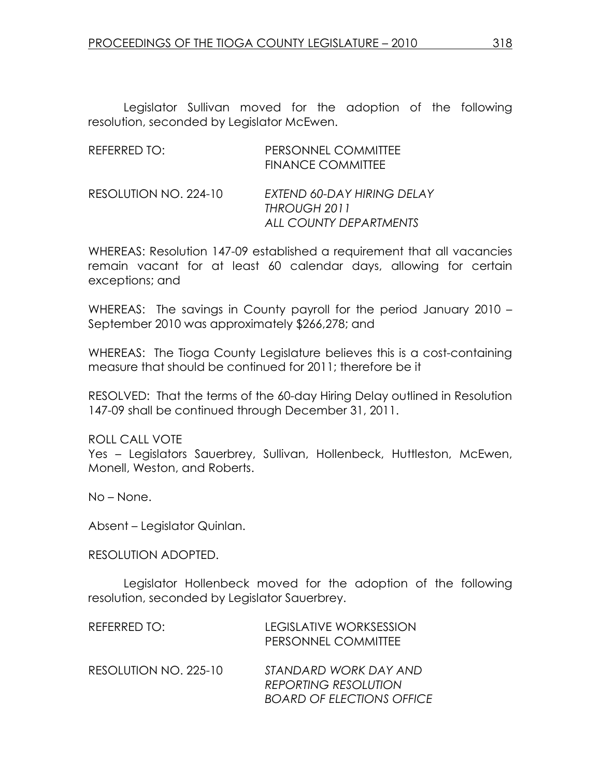Legislator Sullivan moved for the adoption of the following resolution, seconded by Legislator McEwen.

| REFERRED TO:          | PERSONNEL COMMITTEE<br><b>FINANCE COMMITTEE</b>                      |
|-----------------------|----------------------------------------------------------------------|
| RESOLUTION NO. 224-10 | EXTEND 60-DAY HIRING DELAY<br>THROUGH 2011<br>ALL COUNTY DEPARTMENTS |

WHEREAS: Resolution 147-09 established a requirement that all vacancies remain vacant for at least 60 calendar days, allowing for certain exceptions; and

WHEREAS: The savings in County payroll for the period January 2010 – September 2010 was approximately \$266,278; and

WHEREAS: The Tioga County Legislature believes this is a cost-containing measure that should be continued for 2011; therefore be it

RESOLVED: That the terms of the 60-day Hiring Delay outlined in Resolution 147-09 shall be continued through December 31, 2011.

ROLL CALL VOTE Yes – Legislators Sauerbrey, Sullivan, Hollenbeck, Huttleston, McEwen, Monell, Weston, and Roberts.

No – None.

Absent – Legislator Quinlan.

RESOLUTION ADOPTED.

Legislator Hollenbeck moved for the adoption of the following resolution, seconded by Legislator Sauerbrey.

| REFERRED TO:          | <b>LEGISLATIVE WORKSESSION</b><br>PERSONNEL COMMITTEE                                    |
|-----------------------|------------------------------------------------------------------------------------------|
| RESOLUTION NO. 225-10 | STANDARD WORK DAY AND<br><b>REPORTING RESOLUTION</b><br><b>BOARD OF ELECTIONS OFFICE</b> |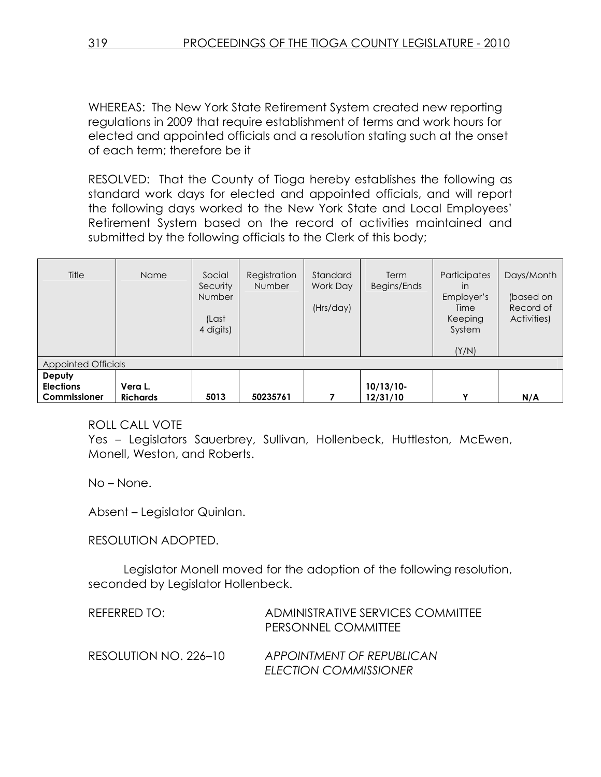WHEREAS: The New York State Retirement System created new reporting regulations in 2009 that require establishment of terms and work hours for elected and appointed officials and a resolution stating such at the onset of each term; therefore be it

RESOLVED: That the County of Tioga hereby establishes the following as standard work days for elected and appointed officials, and will report the following days worked to the New York State and Local Employees' Retirement System based on the record of activities maintained and submitted by the following officials to the Clerk of this body;

| Title<br>Appointed Officials | Name            | Social<br>Security<br>Number<br>(Last<br>4 digits) | Registration<br><b>Number</b> | Standard<br>Work Day<br>(Hrs/day) | Term<br>Begins/Ends | Participates<br>in<br>Employer's<br>Time<br>Keeping<br>System<br>(Y/N) | Days/Month<br>(based on<br>Record of<br>Activities) |
|------------------------------|-----------------|----------------------------------------------------|-------------------------------|-----------------------------------|---------------------|------------------------------------------------------------------------|-----------------------------------------------------|
| Deputy<br><b>Elections</b>   | Vera L.         |                                                    |                               |                                   | $10/13/10$ -        |                                                                        |                                                     |
| Commissioner                 | <b>Richards</b> | 5013                                               | 50235761                      |                                   | 12/31/10            | v                                                                      | N/A                                                 |

### ROLL CALL VOTE

Yes – Legislators Sauerbrey, Sullivan, Hollenbeck, Huttleston, McEwen, Monell, Weston, and Roberts.

No – None.

Absent – Legislator Quinlan.

### RESOLUTION ADOPTED.

Legislator Monell moved for the adoption of the following resolution, seconded by Legislator Hollenbeck.

| REFERRED TO:          | ADMINISTRATIVE SERVICES COMMITTEE<br>PERSONNEL COMMITTEE  |
|-----------------------|-----------------------------------------------------------|
| RESOLUTION NO. 226–10 | APPOINTMENT OF REPUBLICAN<br><b>ELECTION COMMISSIONER</b> |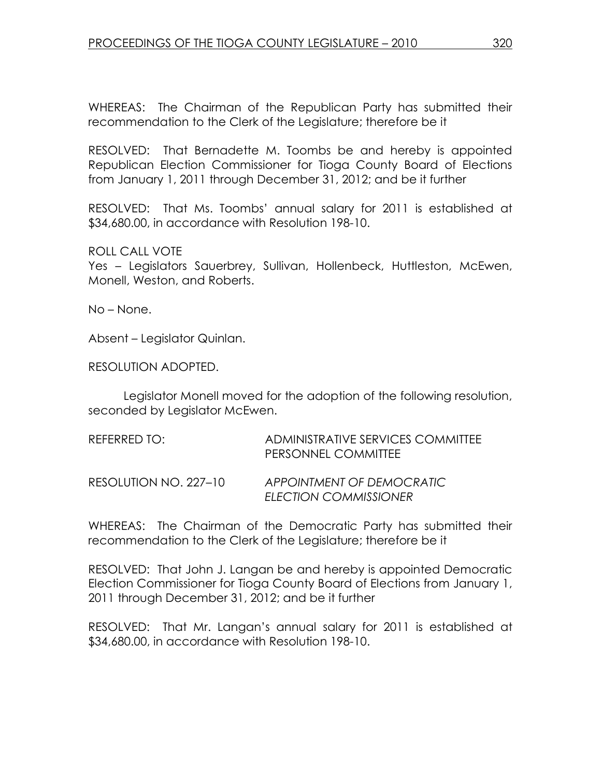WHEREAS: The Chairman of the Republican Party has submitted their recommendation to the Clerk of the Legislature; therefore be it

RESOLVED: That Bernadette M. Toombs be and hereby is appointed Republican Election Commissioner for Tioga County Board of Elections from January 1, 2011 through December 31, 2012; and be it further

RESOLVED: That Ms. Toombs' annual salary for 2011 is established at \$34,680.00, in accordance with Resolution 198-10.

ROLL CALL VOTE

Yes – Legislators Sauerbrey, Sullivan, Hollenbeck, Huttleston, McEwen, Monell, Weston, and Roberts.

No – None.

Absent – Legislator Quinlan.

RESOLUTION ADOPTED.

Legislator Monell moved for the adoption of the following resolution, seconded by Legislator McEwen.

| REFERRED TO:          | ADMINISTRATIVE SERVICES COMMITTEE<br>PERSONNEL COMMITTEE |
|-----------------------|----------------------------------------------------------|
| RESOLUTION NO. 227-10 | APPOINTMENT OF DEMOCRATIC<br>ELECTION COMMISSIONER       |

WHEREAS: The Chairman of the Democratic Party has submitted their recommendation to the Clerk of the Legislature; therefore be it

RESOLVED: That John J. Langan be and hereby is appointed Democratic Election Commissioner for Tioga County Board of Elections from January 1, 2011 through December 31, 2012; and be it further

RESOLVED: That Mr. Langan's annual salary for 2011 is established at \$34,680.00, in accordance with Resolution 198-10.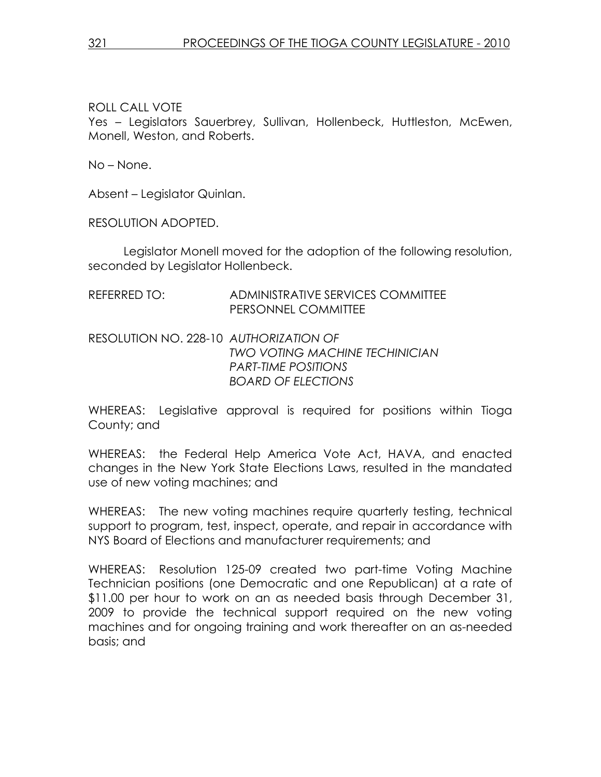Yes - Legislators Sauerbrey, Sullivan, Hollenbeck, Huttleston, McEwen, Monell, Weston, and Roberts.

No – None.

Absent – Legislator Quinlan.

RESOLUTION ADOPTED.

Legislator Monell moved for the adoption of the following resolution, seconded by Legislator Hollenbeck.

| REFERRED TO: | ADMINISTRATIVE SERVICES COMMITTEE |
|--------------|-----------------------------------|
|              | PERSONNEL COMMITTEE               |

### RESOLUTION NO. 228-10 AUTHORIZATION OF TWO VOTING MACHINE TECHINICIAN PART-TIME POSITIONS BOARD OF ELECTIONS

WHEREAS: Legislative approval is required for positions within Tioga County; and

WHEREAS: the Federal Help America Vote Act, HAVA, and enacted changes in the New York State Elections Laws, resulted in the mandated use of new voting machines; and

WHEREAS: The new voting machines require quarterly testing, technical support to program, test, inspect, operate, and repair in accordance with NYS Board of Elections and manufacturer requirements; and

WHEREAS: Resolution 125-09 created two part-time Voting Machine Technician positions (one Democratic and one Republican) at a rate of \$11.00 per hour to work on an as needed basis through December 31, 2009 to provide the technical support required on the new voting machines and for ongoing training and work thereafter on an as-needed basis; and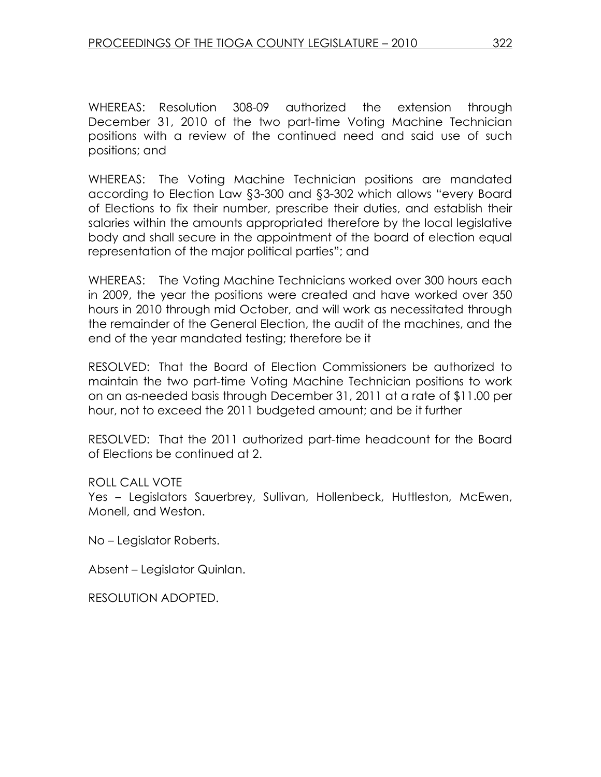WHEREAS: Resolution 308-09 authorized the extension through December 31, 2010 of the two part-time Voting Machine Technician positions with a review of the continued need and said use of such positions; and

WHEREAS: The Voting Machine Technician positions are mandated according to Election Law §3-300 and §3-302 which allows "every Board of Elections to fix their number, prescribe their duties, and establish their salaries within the amounts appropriated therefore by the local legislative body and shall secure in the appointment of the board of election equal representation of the major political parties"; and

WHEREAS: The Voting Machine Technicians worked over 300 hours each in 2009, the year the positions were created and have worked over 350 hours in 2010 through mid October, and will work as necessitated through the remainder of the General Election, the audit of the machines, and the end of the year mandated testing; therefore be it

RESOLVED: That the Board of Election Commissioners be authorized to maintain the two part-time Voting Machine Technician positions to work on an as-needed basis through December 31, 2011 at a rate of \$11.00 per hour, not to exceed the 2011 budgeted amount; and be it further

RESOLVED: That the 2011 authorized part-time headcount for the Board of Elections be continued at 2.

ROLL CALL VOTE

Yes – Legislators Sauerbrey, Sullivan, Hollenbeck, Huttleston, McEwen, Monell, and Weston.

No – Legislator Roberts.

Absent – Legislator Quinlan.